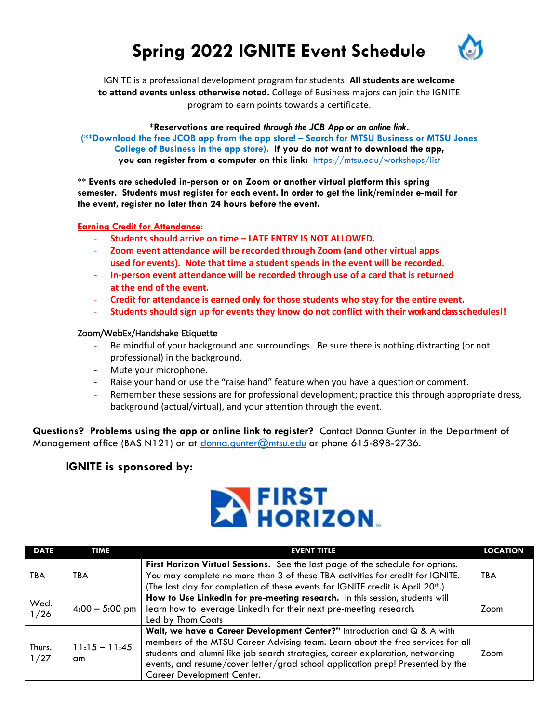## **Spring 2022 IGNITE Event Schedule**



IGNITE is a professional development program for students. **All students are welcome to attend events unless otherwise noted.** College of Business majors can join the IGNITE program to earn points towards a certificate.

**\*Reservations are required** *through the JCB App or an online link***. (\*\*Download the free JCOB app from the app store! – Search for MTSU Business or MTSU Jones College of Business in the app store). If you do not want to download the app, you can register from a computer on this link:** <https://mtsu.edu/workshops/list>

**\*\* Events are scheduled in-person or on Zoom or another virtual platform this spring semester. Students must register for each event. In order to get the link/reminder e-mail for the event, register no later than 24 hours before the event.**

#### **Earning Credit for Attendance:**

- **Students should arrive on time – LATE ENTRY IS NOT ALLOWED.**
- **Zoom event attendance will be recorded through Zoom (and other virtual apps used for events). Note that time a student spends in the event will be recorded.**
- **In-person event attendance will be recorded through use of a card that is returned at the end of the event.**
- **Credit for attendance is earned only for those students who stay for the entire event.**
- **Students should sign up for events they know do not conflict with their work and class schedules!!**

#### Zoom/WebEx/Handshake Etiquette

- Be mindful of your background and surroundings. Be sure there is nothing distracting (or not professional) in the background.
- Mute your microphone.
- Raise your hand or use the "raise hand" feature when you have a question or comment.
- Remember these sessions are for professional development; practice this through appropriate dress, background (actual/virtual), and your attention through the event.

**Questions? Problems using the app or online link to register?** Contact Donna Gunter in the Department of Management office (BAS N121) or at [donna.gunter@mtsu.edu](mailto:donna.gunter@mtsu.edu) or phone 615-898-2736.

#### **IGNITE is sponsored by:**



| <b>DATE</b>    | <b>TIME</b>           | <b>EVENT TITLE</b>                                                                                                                                                                                                                                                                                                                                           | <b>LOCATION</b> |
|----------------|-----------------------|--------------------------------------------------------------------------------------------------------------------------------------------------------------------------------------------------------------------------------------------------------------------------------------------------------------------------------------------------------------|-----------------|
| TBA            | TBA                   | First Horizon Virtual Sessions. See the last page of the schedule for options.<br>You may complete no more than 3 of these TBA activities for credit for IGNITE.<br>(The last day for completion of these events for IGNITE credit is April 20 <sup>th</sup> .)                                                                                              | <b>TBA</b>      |
| Wed.<br>1/26   | $4:00 - 5:00$ pm      | How to Use LinkedIn for pre-meeting research. In this session, students will<br>learn how to leverage LinkedIn for their next pre-meeting research.<br>Led by Thom Coats                                                                                                                                                                                     |                 |
| Thurs.<br>1/27 | $11:15 - 11:45$<br>am | Wait, we have a Career Development Center?" Introduction and Q & A with<br>members of the MTSU Career Advising team. Learn about the free services for all<br>students and alumni like job search strategies, career exploration, networking<br>events, and resume/cover letter/grad school application prep! Presented by the<br>Career Development Center. | Zoom            |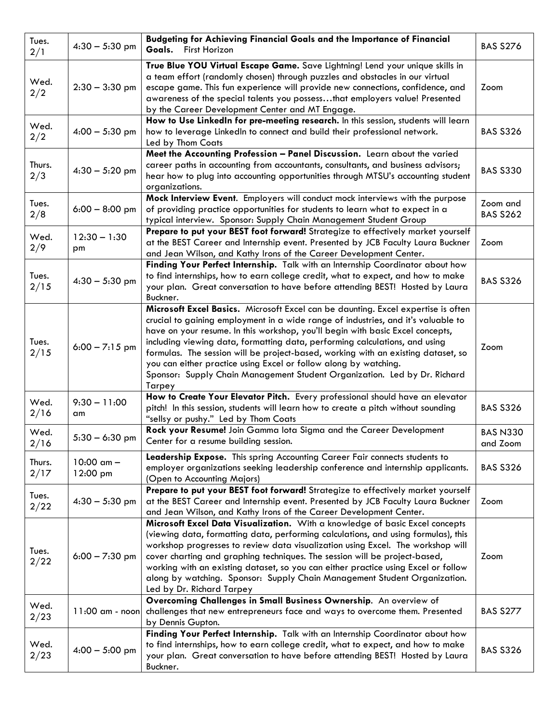| Tues.<br>2/1   | $4:30 - 5:30$ pm           | Budgeting for Achieving Financial Goals and the Importance of Financial<br>Goals.<br>First Horizon                                                                                                                                                                                                                                                                                                                                                                                                                                                                                      | <b>BAS S276</b>             |
|----------------|----------------------------|-----------------------------------------------------------------------------------------------------------------------------------------------------------------------------------------------------------------------------------------------------------------------------------------------------------------------------------------------------------------------------------------------------------------------------------------------------------------------------------------------------------------------------------------------------------------------------------------|-----------------------------|
| Wed.<br>2/2    | $2:30 - 3:30$ pm           | True Blue YOU Virtual Escape Game. Save Lightning! Lend your unique skills in<br>a team effort (randomly chosen) through puzzles and obstacles in our virtual<br>escape game. This fun experience will provide new connections, confidence, and<br>awareness of the special talents you possessthat employers value! Presented<br>by the Career Development Center and MT Engage.                                                                                                                                                                                                       | Zoom                        |
| Wed.<br>2/2    | $4:00 - 5:30$ pm           | How to Use LinkedIn for pre-meeting research. In this session, students will learn<br>how to leverage LinkedIn to connect and build their professional network.<br><b>BAS S326</b><br>Led by Thom Coats                                                                                                                                                                                                                                                                                                                                                                                 |                             |
| Thurs.<br>2/3  | $4:30 - 5:20$ pm           | Meet the Accounting Profession - Panel Discussion. Learn about the varied<br>career paths in accounting from accountants, consultants, and business advisors;<br>hear how to plug into accounting opportunities through MTSU's accounting student<br>organizations.                                                                                                                                                                                                                                                                                                                     | <b>BAS S330</b>             |
| Tues.<br>2/8   | $6:00 - 8:00$ pm           | Mock Interview Event. Employers will conduct mock interviews with the purpose<br>of providing practice opportunities for students to learn what to expect in a<br>typical interview. Sponsor: Supply Chain Management Student Group                                                                                                                                                                                                                                                                                                                                                     | Zoom and<br><b>BAS S262</b> |
| Wed.<br>2/9    | $12:30 - 1:30$<br>pm       | Prepare to put your BEST foot forward! Strategize to effectively market yourself<br>at the BEST Career and Internship event. Presented by JCB Faculty Laura Buckner<br>and Jean Wilson, and Kathy Irons of the Career Development Center.                                                                                                                                                                                                                                                                                                                                               | Zoom                        |
| Tues.<br>2/15  | $4:30 - 5:30$ pm           | Finding Your Perfect Internship. Talk with an Internship Coordinator about how<br>to find internships, how to earn college credit, what to expect, and how to make<br>your plan. Great conversation to have before attending BEST! Hosted by Laura<br>Buckner.                                                                                                                                                                                                                                                                                                                          | <b>BAS S326</b>             |
| Tues.<br>2/15  | $6:00 - 7:15$ pm           | Microsoft Excel Basics. Microsoft Excel can be daunting. Excel expertise is often<br>crucial to gaining employment in a wide range of industries, and it's valuable to<br>have on your resume. In this workshop, you'll begin with basic Excel concepts,<br>including viewing data, formatting data, performing calculations, and using<br>formulas. The session will be project-based, working with an existing dataset, so<br>you can either practice using Excel or follow along by watching.<br>Sponsor: Supply Chain Management Student Organization. Led by Dr. Richard<br>Tarpey | Zoom                        |
| Wed.<br>2/16   | $9:30 - 11:00$<br>am       | How to Create Your Elevator Pitch. Every professional should have an elevator<br>pitch! In this session, students will learn how to create a pitch without sounding<br>"sellsy or pushy." Led by Thom Coats                                                                                                                                                                                                                                                                                                                                                                             | <b>BAS S326</b>             |
| Wed.<br>2/16   | $5:30 - 6:30$ pm           | Rock your Resume! Join Gamma lota Sigma and the Career Development<br>Center for a resume building session.                                                                                                                                                                                                                                                                                                                                                                                                                                                                             | <b>BAS N330</b><br>and Zoom |
| Thurs.<br>2/17 | $10:00$ am $-$<br>12:00 pm | Leadership Expose. This spring Accounting Career Fair connects students to<br>employer organizations seeking leadership conference and internship applicants.<br>(Open to Accounting Majors)                                                                                                                                                                                                                                                                                                                                                                                            | <b>BAS S326</b>             |
| Tues.<br>2/22  | $4:30 - 5:30$ pm           | Prepare to put your BEST foot forward! Strategize to effectively market yourself<br>at the BEST Career and Internship event. Presented by JCB Faculty Laura Buckner<br>and Jean Wilson, and Kathy Irons of the Career Development Center.                                                                                                                                                                                                                                                                                                                                               | Zoom                        |
| Tues.<br>2/22  | $6:00 - 7:30$ pm           | Microsoft Excel Data Visualization. With a knowledge of basic Excel concepts<br>(viewing data, formatting data, performing calculations, and using formulas), this<br>workshop progresses to review data visualization using Excel. The workshop will<br>cover charting and graphing techniques. The session will be project-based,<br>working with an existing dataset, so you can either practice using Excel or follow<br>along by watching. Sponsor: Supply Chain Management Student Organization.<br>Led by Dr. Richard Tarpey                                                     | Zoom                        |
| Wed.<br>2/23   | $11:00$ am - noon          | Overcoming Challenges in Small Business Ownership. An overview of<br>challenges that new entrepreneurs face and ways to overcome them. Presented<br>by Dennis Gupton.                                                                                                                                                                                                                                                                                                                                                                                                                   | <b>BAS S277</b>             |
| Wed.<br>2/23   | $4:00 - 5:00$ pm           | Finding Your Perfect Internship. Talk with an Internship Coordinator about how<br>to find internships, how to earn college credit, what to expect, and how to make<br>your plan. Great conversation to have before attending BEST! Hosted by Laura<br>Buckner.                                                                                                                                                                                                                                                                                                                          | <b>BAS S326</b>             |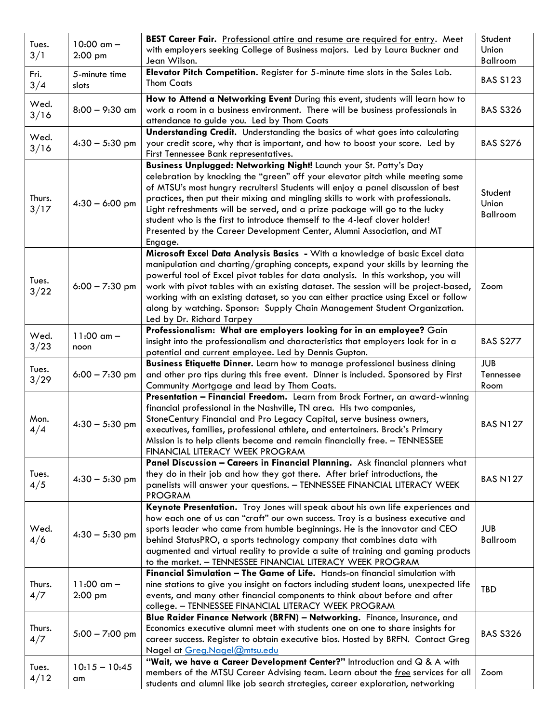|               |                  | BEST Career Fair. Professional attire and resume are required for entry. Meet         | Student         |
|---------------|------------------|---------------------------------------------------------------------------------------|-----------------|
| Tues.         | $10:00$ am $-$   | with employers seeking College of Business majors. Led by Laura Buckner and           | Union           |
| 3/1           | $2:00$ pm        | Jean Wilson.                                                                          | Ballroom        |
| Fri.          | 5-minute time    | Elevator Pitch Competition. Register for 5-minute time slots in the Sales Lab.        |                 |
|               |                  | <b>Thom Coats</b>                                                                     | <b>BAS S123</b> |
| 3/4           | slots            |                                                                                       |                 |
| Wed.          |                  | How to Attend a Networking Event During this event, students will learn how to        |                 |
| 3/16          | $8:00 - 9:30$ am | work a room in a business environment. There will be business professionals in        | <b>BAS S326</b> |
|               |                  | attendance to guide you. Led by Thom Coats                                            |                 |
| Wed.          |                  | Understanding Credit. Understanding the basics of what goes into calculating          |                 |
|               | $4:30 - 5:30$ pm | your credit score, why that is important, and how to boost your score. Led by         | <b>BAS S276</b> |
| 3/16          |                  | First Tennessee Bank representatives.                                                 |                 |
|               |                  | Business Unplugged: Networking Night! Launch your St. Patty's Day                     |                 |
|               |                  | celebration by knocking the "green" off your elevator pitch while meeting some        |                 |
|               | $4:30 - 6:00$ pm | of MTSU's most hungry recruiters! Students will enjoy a panel discussion of best      |                 |
| Thurs.        |                  | practices, then put their mixing and mingling skills to work with professionals.      | Student         |
| 3/17          |                  | Light refreshments will be served, and a prize package will go to the lucky           | Union           |
|               |                  | student who is the first to introduce themself to the 4-leaf clover holder!           | Ballroom        |
|               |                  | Presented by the Career Development Center, Alumni Association, and MT                |                 |
|               |                  | Engage.                                                                               |                 |
|               |                  | Microsoft Excel Data Analysis Basics - With a knowledge of basic Excel data           |                 |
|               |                  | manipulation and charting/graphing concepts, expand your skills by learning the       |                 |
|               |                  | powerful tool of Excel pivot tables for data analysis. In this workshop, you will     |                 |
| Tues.         | $6:00 - 7:30$ pm | work with pivot tables with an existing dataset. The session will be project-based,   | Zoom            |
| 3/22          |                  | working with an existing dataset, so you can either practice using Excel or follow    |                 |
|               |                  |                                                                                       |                 |
|               |                  | along by watching. Sponsor: Supply Chain Management Student Organization.             |                 |
|               |                  | Led by Dr. Richard Tarpey                                                             |                 |
| Wed.          | $11:00$ am $-$   | Professionalism: What are employers looking for in an employee? Gain                  |                 |
| 3/23          | noon             | insight into the professionalism and characteristics that employers look for in a     | <b>BAS S277</b> |
|               |                  | potential and current employee. Led by Dennis Gupton.                                 |                 |
| Tues.         |                  | Business Etiquette Dinner. Learn how to manage professional business dining           | <b>JUB</b>      |
| 3/29          | $6:00 - 7:30$ pm | and other pro tips during this free event. Dinner is included. Sponsored by First     | Tennessee       |
|               |                  | Community Mortgage and lead by Thom Coats.                                            | Room            |
|               |                  | Presentation - Financial Freedom. Learn from Brock Fortner, an award-winning          |                 |
|               |                  | financial professional in the Nashville, TN area. His two companies,                  |                 |
| Mon.          | $4:30 - 5:30$ pm | StoneCentury Financial and Pro Legacy Capital, serve business owners,                 | <b>BAS N127</b> |
| 4/4           |                  | executives, families, professional athlete, and entertainers. Brock's Primary         |                 |
|               |                  | Mission is to help clients become and remain financially free. - TENNESSEE            |                 |
|               |                  | FINANCIAL LITERACY WEEK PROGRAM                                                       |                 |
|               |                  | Panel Discussion - Careers in Financial Planning. Ask financial planners what         |                 |
| Tues.         | $4:30 - 5:30$ pm | they do in their job and how they got there. After brief introductions, the           | <b>BAS N127</b> |
| 4/5           |                  | panelists will answer your questions. - TENNESSEE FINANCIAL LITERACY WEEK             |                 |
|               |                  | <b>PROGRAM</b>                                                                        |                 |
|               |                  | Keynote Presentation. Troy Jones will speak about his own life experiences and        |                 |
|               | $4:30 - 5:30$ pm | how each one of us can "craft" our own success. Troy is a business executive and      |                 |
| Wed.          |                  | sports leader who came from humble beginnings. He is the innovator and CEO            | <b>JUB</b>      |
| 4/6           |                  | behind StatusPRO, a sports technology company that combines data with                 | Ballroom        |
|               |                  | augmented and virtual reality to provide a suite of training and gaming products      |                 |
|               |                  | to the market. - TENNESSEE FINANCIAL LITERACY WEEK PROGRAM                            |                 |
|               |                  | Financial Simulation - The Game of Life. Hands-on financial simulation with           |                 |
| Thurs.        | $11:00$ am $-$   | nine stations to give you insight on factors including student loans, unexpected life |                 |
| 4/7           | $2:00$ pm        | events, and many other financial components to think about before and after           | TBD             |
|               |                  | college. - TENNESSEE FINANCIAL LITERACY WEEK PROGRAM                                  |                 |
|               | $5:00 - 7:00$ pm | Blue Raider Finance Network (BRFN) - Networking. Finance, Insurance, and              |                 |
| Thurs.<br>4/7 |                  | Economics executive alumni meet with students one on one to share insights for        |                 |
|               |                  | career success. Register to obtain executive bios. Hosted by BRFN. Contact Greg       | <b>BAS S326</b> |
|               |                  | Nagel at Greg.Nagel@mtsu.edu                                                          |                 |
|               |                  | "Wait, we have a Career Development Center?" Introduction and Q & A with              |                 |
| Tues.         | $10:15 - 10:45$  | members of the MTSU Career Advising team. Learn about the free services for all       | Zoom            |
| 4/12          | am               | students and alumni like job search strategies, career exploration, networking        |                 |
|               |                  |                                                                                       |                 |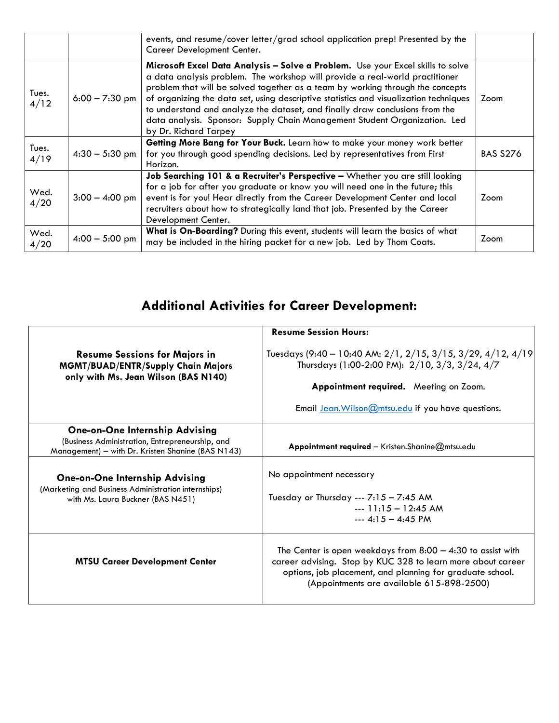|               |                  | events, and resume/cover letter/grad school application prep! Presented by the<br>Career Development Center.                                                                                                                                                                                                                                                                                                                                                                                                                             |                 |
|---------------|------------------|------------------------------------------------------------------------------------------------------------------------------------------------------------------------------------------------------------------------------------------------------------------------------------------------------------------------------------------------------------------------------------------------------------------------------------------------------------------------------------------------------------------------------------------|-----------------|
| Tues.<br>4/12 | $6:00 - 7:30$ pm | Microsoft Excel Data Analysis - Solve a Problem. Use your Excel skills to solve<br>a data analysis problem. The workshop will provide a real-world practitioner<br>problem that will be solved together as a team by working through the concepts<br>of organizing the data set, using descriptive statistics and visualization techniques<br>Zoom<br>to understand and analyze the dataset, and finally draw conclusions from the<br>data analysis. Sponsor: Supply Chain Management Student Organization. Led<br>by Dr. Richard Tarpey |                 |
| Tues.<br>4/19 | $4:30 - 5:30$ pm | Getting More Bang for Your Buck. Learn how to make your money work better<br>for you through good spending decisions. Led by representatives from First<br>Horizon.                                                                                                                                                                                                                                                                                                                                                                      | <b>BAS S276</b> |
| Wed.<br>4/20  | $3:00 - 4:00$ pm | Job Searching 101 & a Recruiter's Perspective - Whether you are still looking<br>for a job for after you graduate or know you will need one in the future; this<br>event is for you! Hear directly from the Career Development Center and local<br>recruiters about how to strategically land that job. Presented by the Career<br>Development Center.                                                                                                                                                                                   |                 |
| Wed.<br>4/20  | $4:00 - 5:00$ pm | What is On-Boarding? During this event, students will learn the basics of what<br>may be included in the hiring packet for a new job. Led by Thom Coats.                                                                                                                                                                                                                                                                                                                                                                                 | Zoom            |

## **Additional Activities for Career Development:**

| <b>Resume Session Hours:</b>                                                                                                                                                                                                           |
|----------------------------------------------------------------------------------------------------------------------------------------------------------------------------------------------------------------------------------------|
| Tuesdays (9:40 - 10:40 AM: 2/1, 2/15, 3/15, 3/29, 4/12, 4/19<br>Thursdays (1:00-2:00 PM): 2/10, 3/3, 3/24, 4/7                                                                                                                         |
| Appointment required. Meeting on Zoom.                                                                                                                                                                                                 |
| Email Jean. Wilson @mtsu.edu if you have questions.                                                                                                                                                                                    |
| Appointment required - Kristen. Shanine $@$ mtsu. edu                                                                                                                                                                                  |
| No appointment necessary<br>Tuesday or Thursday --- $7:15 - 7:45$ AM<br>$-11:15 - 12:45$ AM<br>$- - 4.15 - 4.45$ PM                                                                                                                    |
| The Center is open weekdays from $8:00 - 4:30$ to assist with<br>career advising. Stop by KUC 328 to learn more about career<br>options, job placement, and planning for graduate school.<br>(Appointments are available 615-898-2500) |
|                                                                                                                                                                                                                                        |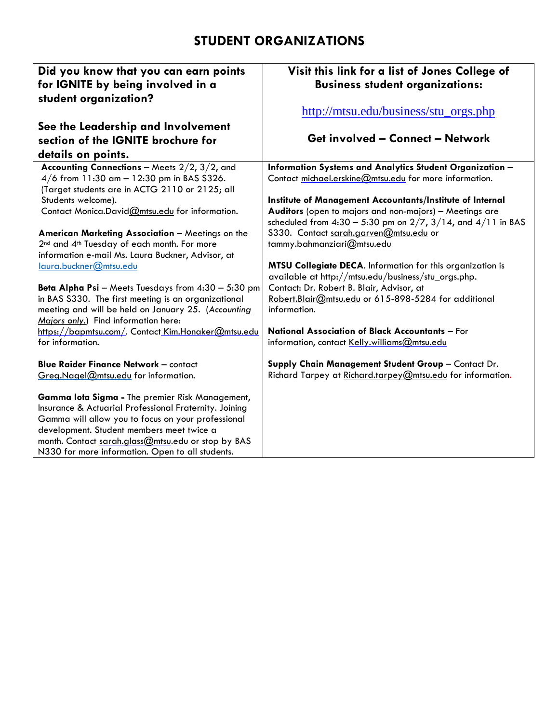### **STUDENT ORGANIZATIONS**

| Did you know that you can earn points<br>for IGNITE by being involved in a<br>student organization?                                                                                                                                                                                                                    | Visit this link for a list of Jones College of<br><b>Business student organizations:</b>                             |
|------------------------------------------------------------------------------------------------------------------------------------------------------------------------------------------------------------------------------------------------------------------------------------------------------------------------|----------------------------------------------------------------------------------------------------------------------|
|                                                                                                                                                                                                                                                                                                                        | http://mtsu.edu/business/stu_orgs.php                                                                                |
| See the Leadership and Involvement                                                                                                                                                                                                                                                                                     |                                                                                                                      |
| section of the IGNITE brochure for                                                                                                                                                                                                                                                                                     | <b>Get involved - Connect - Network</b>                                                                              |
| details on points.                                                                                                                                                                                                                                                                                                     |                                                                                                                      |
| Accounting Connections - Meets $2/2$ , $3/2$ , and                                                                                                                                                                                                                                                                     | Information Systems and Analytics Student Organization -                                                             |
| $4/6$ from 11:30 am $-$ 12:30 pm in BAS S326.                                                                                                                                                                                                                                                                          | Contact michael.erskine@mtsu.edu for more information.                                                               |
| (Target students are in ACTG 2110 or 2125; all                                                                                                                                                                                                                                                                         |                                                                                                                      |
| Students welcome).<br>Contact Monica.David@mtsu.edu for information.                                                                                                                                                                                                                                                   | Institute of Management Accountants/Institute of Internal<br>Auditors (open to majors and non-majors) - Meetings are |
|                                                                                                                                                                                                                                                                                                                        | scheduled from $4:30 - 5:30$ pm on $2/7$ , $3/14$ , and $4/11$ in BAS                                                |
| American Marketing Association - Meetings on the                                                                                                                                                                                                                                                                       | S330. Contact sarah.garven@mtsu.edu or                                                                               |
| 2 <sup>nd</sup> and 4 <sup>th</sup> Tuesday of each month. For more                                                                                                                                                                                                                                                    | tammy.bahmanziari@mtsu.edu                                                                                           |
| information e-mail Ms. Laura Buckner, Advisor, at                                                                                                                                                                                                                                                                      |                                                                                                                      |
| laura.buckner@mtsu.edu                                                                                                                                                                                                                                                                                                 | MTSU Collegiate DECA. Information for this organization is                                                           |
|                                                                                                                                                                                                                                                                                                                        | available at http://mtsu.edu/business/stu_orgs.php.                                                                  |
| Beta Alpha Psi - Meets Tuesdays from 4:30 - 5:30 pm<br>in BAS S330. The first meeting is an organizational                                                                                                                                                                                                             | Contact: Dr. Robert B. Blair, Advisor, at<br>Robert.Blair@mtsu.edu or 615-898-5284 for additional                    |
| meeting and will be held on January 25. (Accounting                                                                                                                                                                                                                                                                    | information.                                                                                                         |
| Majors only.) Find information here:                                                                                                                                                                                                                                                                                   |                                                                                                                      |
| https://bapmtsu.com/. Contact Kim.Honaker@mtsu.edu                                                                                                                                                                                                                                                                     | National Association of Black Accountants - For                                                                      |
| for information.                                                                                                                                                                                                                                                                                                       | information, contact Kelly.williams@mtsu.edu                                                                         |
|                                                                                                                                                                                                                                                                                                                        |                                                                                                                      |
| <b>Blue Raider Finance Network - contact</b>                                                                                                                                                                                                                                                                           | Supply Chain Management Student Group - Contact Dr.                                                                  |
| Greg.Nagel@mtsu.edu for information.                                                                                                                                                                                                                                                                                   | Richard Tarpey at Richard.tarpey@mtsu.edu for information.                                                           |
| Gamma lota Sigma - The premier Risk Management,<br>Insurance & Actuarial Professional Fraternity. Joining<br>Gamma will allow you to focus on your professional<br>development. Student members meet twice a<br>month. Contact sarah.glass@mtsu.edu or stop by BAS<br>N330 for more information. Open to all students. |                                                                                                                      |